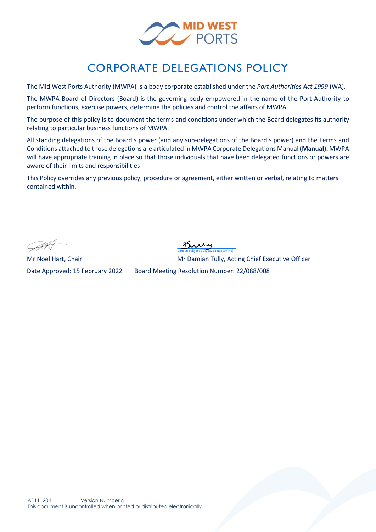

## CORPORATE DELEGATIONS POLICY

The Mid West Ports Authority (MWPA) is a body corporate established under the *Port Authorities Act 1999* (WA).

The MWPA Board of Directors (Board) is the governing body empowered in the name of the Port Authority to perform functions, exercise powers, determine the policies and control the affairs of MWPA.

The purpose of this policy is to document the terms and conditions under which the Board delegates its authority relating to particular business functions of MWPA.

All standing delegations of the Board's power (and any sub-delegations of the Board's power) and the Terms and Conditions attached to those delegations are articulated in MWPA Corporate Delegations Manual **(Manual).** MWPA will have appropriate training in place so that those individuals that have been delegated functions or powers are aware of their limits and responsibilities

This Policy overrides any previous policy, procedure or agreement, either written or verbal, relating to matters contained within.

[Damian Tully \(Feb 28, 2022 13:35 GMT+8\)](https://au1.documents.adobe.com/verifier?tx=CBJCHBCAABAABcUZFIeqUPlBSD8oEIc_KaqyUKSUopP-)

Mr Noel Hart, Chair Mr Damian Tully, Acting Chief Executive Officer

Date Approved: 15 February 2022 Board Meeting Resolution Number: 22/088/008